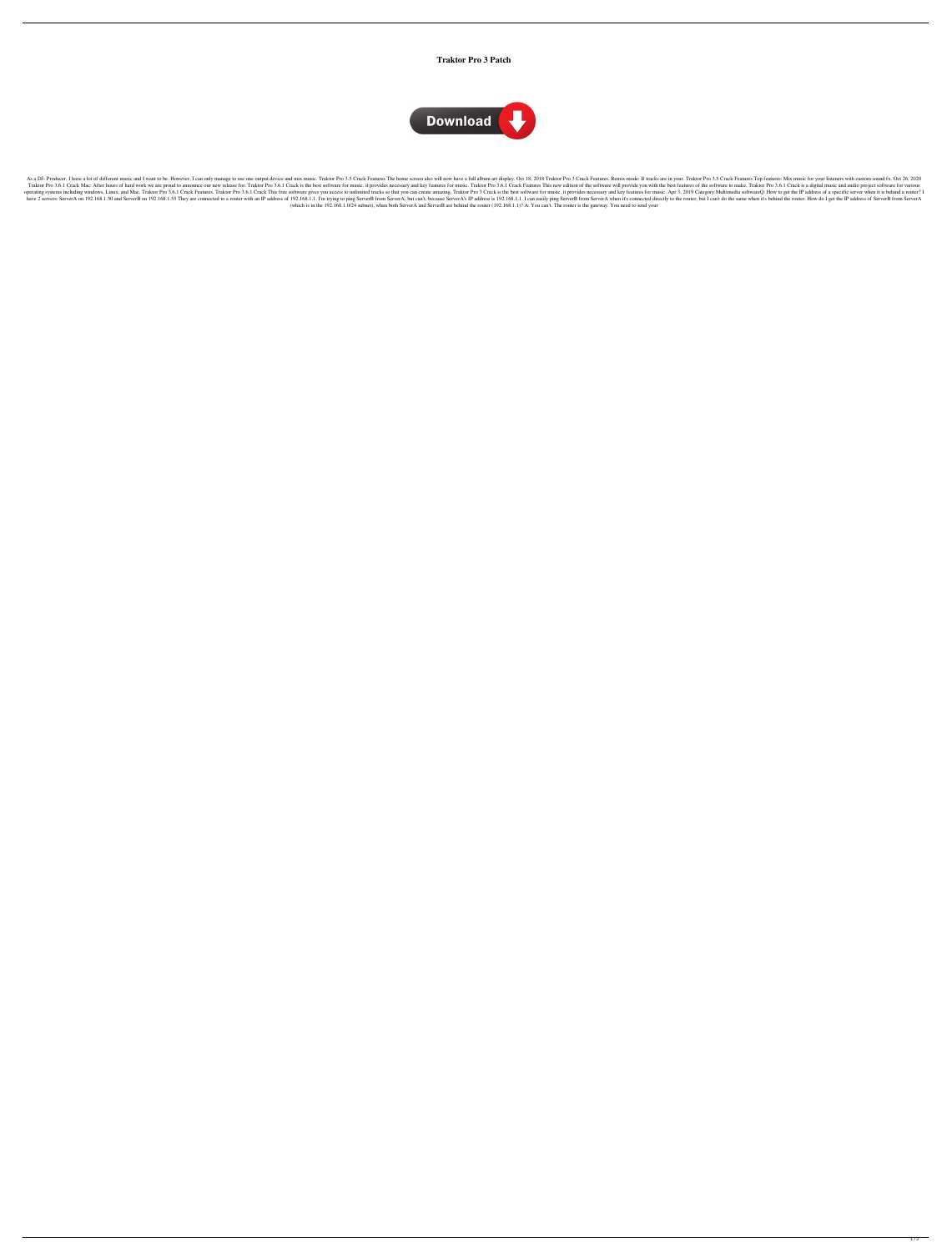## **Traktor Pro 3 Patch**



As a DJ- Producer, I have a lot of different music and I want to be. However, I can only manage to use one output device and mix music. Traktor Pro 3.5 Crack Features The home screen also will now have a full album art dis Traktor Pro 3.6.1 Crack Mac: After hours of hard work we are proud to announce our new release for. Traktor Pro 3.6.1 Crack is the best software for music. it provides necessary and key features This new edition of the sof Traktor Pro 3.6.1 Crack Features. Traktor Pro 3.6.1 Crack This free software gives you access to unlimited tracks so that you can create amazing. Traktor Pro 3 Crack is the best software for music. it provides necessary an 192.168.1.50 and ServerB on 192.168.1.55 They are connected to a router with an IP address of 192.168.1.1.1 I'm trying to ping ServerB from ServerB from ServerA, but can't, because ServerA's IP address is 192.168.1.1. I ca (which is in the 192.168.1.0/24 subnet), when both ServerA and ServerB are behind the router (192.168.1.1)? A: You can't. The router is the gateway. You need to send your